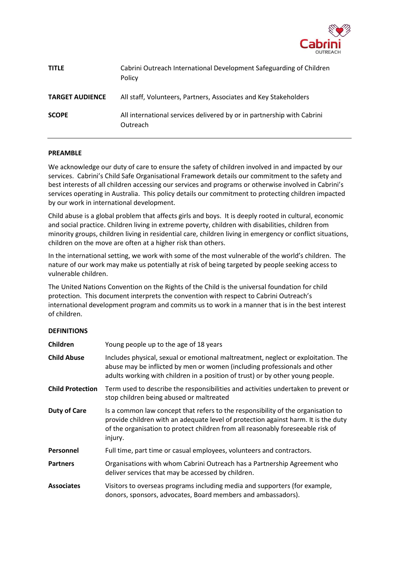

| <b>TITLE</b>           | Cabrini Outreach International Development Safeguarding of Children<br>Policy      |
|------------------------|------------------------------------------------------------------------------------|
| <b>TARGET AUDIENCE</b> | All staff, Volunteers, Partners, Associates and Key Stakeholders                   |
| <b>SCOPE</b>           | All international services delivered by or in partnership with Cabrini<br>Outreach |

#### **PREAMBLE**

We acknowledge our duty of care to ensure the safety of children involved in and impacted by our services. Cabrini's Child Safe Organisational Framework details our commitment to the safety and best interests of all children accessing our services and programs or otherwise involved in Cabrini's services operating in Australia. This policy details our commitment to protecting children impacted by our work in international development.

Child abuse is a global problem that affects girls and boys. It is deeply rooted in cultural, economic and social practice. Children living in extreme poverty, children with disabilities, children from minority groups, children living in residential care, children living in emergency or conflict situations, children on the move are often at a higher risk than others.

In the international setting, we work with some of the most vulnerable of the world's children. The nature of our work may make us potentially at risk of being targeted by people seeking access to vulnerable children.

The United Nations Convention on the Rights of the Child is the universal foundation for child protection. This document interprets the convention with respect to Cabrini Outreach's international development program and commits us to work in a manner that is in the best interest of children.

#### **DEFINITIONS**

| Children                | Young people up to the age of 18 years                                                                                                                                                                                                                               |  |
|-------------------------|----------------------------------------------------------------------------------------------------------------------------------------------------------------------------------------------------------------------------------------------------------------------|--|
| <b>Child Abuse</b>      | Includes physical, sexual or emotional maltreatment, neglect or exploitation. The<br>abuse may be inflicted by men or women (including professionals and other<br>adults working with children in a position of trust) or by other young people.                     |  |
| <b>Child Protection</b> | Term used to describe the responsibilities and activities undertaken to prevent or<br>stop children being abused or maltreated                                                                                                                                       |  |
| <b>Duty of Care</b>     | Is a common law concept that refers to the responsibility of the organisation to<br>provide children with an adequate level of protection against harm. It is the duty<br>of the organisation to protect children from all reasonably foreseeable risk of<br>injury. |  |
| Personnel               | Full time, part time or casual employees, volunteers and contractors.                                                                                                                                                                                                |  |
| <b>Partners</b>         | Organisations with whom Cabrini Outreach has a Partnership Agreement who<br>deliver services that may be accessed by children.                                                                                                                                       |  |
| <b>Associates</b>       | Visitors to overseas programs including media and supporters (for example,<br>donors, sponsors, advocates, Board members and ambassadors).                                                                                                                           |  |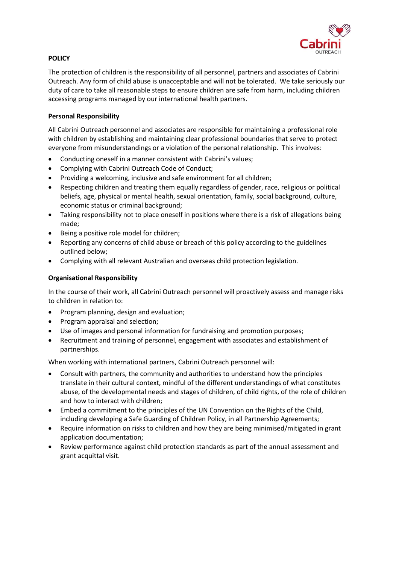

# **POLICY**

The protection of children is the responsibility of all personnel, partners and associates of Cabrini Outreach. Any form of child abuse is unacceptable and will not be tolerated. We take seriously our duty of care to take all reasonable steps to ensure children are safe from harm, including children accessing programs managed by our international health partners.

### **Personal Responsibility**

All Cabrini Outreach personnel and associates are responsible for maintaining a professional role with children by establishing and maintaining clear professional boundaries that serve to protect everyone from misunderstandings or a violation of the personal relationship. This involves:

- Conducting oneself in a manner consistent with Cabrini's values;
- Complying with Cabrini Outreach Code of Conduct;
- Providing a welcoming, inclusive and safe environment for all children;
- Respecting children and treating them equally regardless of gender, race, religious or political beliefs, age, physical or mental health, sexual orientation, family, social background, culture, economic status or criminal background;
- Taking responsibility not to place oneself in positions where there is a risk of allegations being made;
- Being a positive role model for children;
- Reporting any concerns of child abuse or breach of this policy according to the guidelines outlined below;
- Complying with all relevant Australian and overseas child protection legislation.

# **Organisational Responsibility**

In the course of their work, all Cabrini Outreach personnel will proactively assess and manage risks to children in relation to:

- Program planning, design and evaluation;
- Program appraisal and selection;
- Use of images and personal information for fundraising and promotion purposes;
- Recruitment and training of personnel, engagement with associates and establishment of partnerships.

When working with international partners, Cabrini Outreach personnel will:

- Consult with partners, the community and authorities to understand how the principles translate in their cultural context, mindful of the different understandings of what constitutes abuse, of the developmental needs and stages of children, of child rights, of the role of children and how to interact with children;
- Embed a commitment to the principles of the UN Convention on the Rights of the Child, including developing a Safe Guarding of Children Policy, in all Partnership Agreements;
- Require information on risks to children and how they are being minimised/mitigated in grant application documentation;
- Review performance against child protection standards as part of the annual assessment and grant acquittal visit.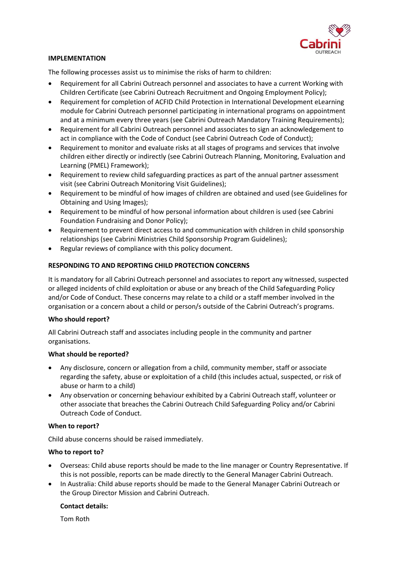

# **IMPLEMENTATION**

The following processes assist us to minimise the risks of harm to children:

- Requirement for all Cabrini Outreach personnel and associates to have a current Working with Children Certificate (see Cabrini Outreach Recruitment and Ongoing Employment Policy);
- Requirement for completion of ACFID Child Protection in International Development eLearning module for Cabrini Outreach personnel participating in international programs on appointment and at a minimum every three years (see Cabrini Outreach Mandatory Training Requirements);
- Requirement for all Cabrini Outreach personnel and associates to sign an acknowledgement to act in compliance with the Code of Conduct (see Cabrini Outreach Code of Conduct);
- Requirement to monitor and evaluate risks at all stages of programs and services that involve children either directly or indirectly (see Cabrini Outreach Planning, Monitoring, Evaluation and Learning (PMEL) Framework);
- Requirement to review child safeguarding practices as part of the annual partner assessment visit (see Cabrini Outreach Monitoring Visit Guidelines);
- Requirement to be mindful of how images of children are obtained and used (see Guidelines for Obtaining and Using Images);
- Requirement to be mindful of how personal information about children is used (see Cabrini Foundation Fundraising and Donor Policy);
- Requirement to prevent direct access to and communication with children in child sponsorship relationships (see Cabrini Ministries Child Sponsorship Program Guidelines);
- Regular reviews of compliance with this policy document.

# **RESPONDING TO AND REPORTING CHILD PROTECTION CONCERNS**

It is mandatory for all Cabrini Outreach personnel and associates to report any witnessed, suspected or alleged incidents of child exploitation or abuse or any breach of the Child Safeguarding Policy and/or Code of Conduct. These concerns may relate to a child or a staff member involved in the organisation or a concern about a child or person/s outside of the Cabrini Outreach's programs.

#### **Who should report?**

All Cabrini Outreach staff and associates including people in the community and partner organisations.

#### **What should be reported?**

- Any disclosure, concern or allegation from a child, community member, staff or associate regarding the safety, abuse or exploitation of a child (this includes actual, suspected, or risk of abuse or harm to a child)
- Any observation or concerning behaviour exhibited by a Cabrini Outreach staff, volunteer or other associate that breaches the Cabrini Outreach Child Safeguarding Policy and/or Cabrini Outreach Code of Conduct.

#### **When to report?**

Child abuse concerns should be raised immediately.

# **Who to report to?**

- Overseas: Child abuse reports should be made to the line manager or Country Representative. If this is not possible, reports can be made directly to the General Manager Cabrini Outreach.
- In Australia: Child abuse reports should be made to the General Manager Cabrini Outreach or the Group Director Mission and Cabrini Outreach.

#### **Contact details:**

Tom Roth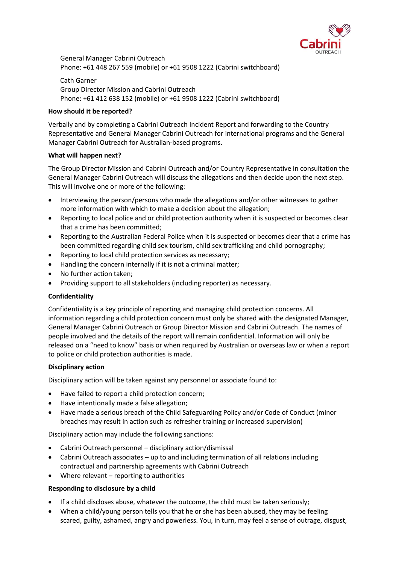

General Manager Cabrini Outreach Phone: +61 448 267 559 (mobile) or +61 9508 1222 (Cabrini switchboard)

Cath Garner Group Director Mission and Cabrini Outreach Phone: +61 412 638 152 (mobile) or +61 9508 1222 (Cabrini switchboard)

### **How should it be reported?**

Verbally and by completing a Cabrini Outreach Incident Report and forwarding to the Country Representative and General Manager Cabrini Outreach for international programs and the General Manager Cabrini Outreach for Australian-based programs.

# **What will happen next?**

The Group Director Mission and Cabrini Outreach and/or Country Representative in consultation the General Manager Cabrini Outreach will discuss the allegations and then decide upon the next step. This will involve one or more of the following:

- Interviewing the person/persons who made the allegations and/or other witnesses to gather more information with which to make a decision about the allegation;
- Reporting to local police and or child protection authority when it is suspected or becomes clear that a crime has been committed;
- Reporting to the Australian Federal Police when it is suspected or becomes clear that a crime has been committed regarding child sex tourism, child sex trafficking and child pornography;
- Reporting to local child protection services as necessary;
- Handling the concern internally if it is not a criminal matter;
- No further action taken;
- Providing support to all stakeholders (including reporter) as necessary.

#### **Confidentiality**

Confidentiality is a key principle of reporting and managing child protection concerns. All information regarding a child protection concern must only be shared with the designated Manager, General Manager Cabrini Outreach or Group Director Mission and Cabrini Outreach. The names of people involved and the details of the report will remain confidential. Information will only be released on a "need to know" basis or when required by Australian or overseas law or when a report to police or child protection authorities is made.

# **Disciplinary action**

Disciplinary action will be taken against any personnel or associate found to:

- Have failed to report a child protection concern;
- Have intentionally made a false allegation;
- Have made a serious breach of the Child Safeguarding Policy and/or Code of Conduct (minor breaches may result in action such as refresher training or increased supervision)

Disciplinary action may include the following sanctions:

- Cabrini Outreach personnel disciplinary action/dismissal
- Cabrini Outreach associates up to and including termination of all relations including contractual and partnership agreements with Cabrini Outreach
- Where relevant reporting to authorities

#### **Responding to disclosure by a child**

- If a child discloses abuse, whatever the outcome, the child must be taken seriously;
- When a child/young person tells you that he or she has been abused, they may be feeling scared, guilty, ashamed, angry and powerless. You, in turn, may feel a sense of outrage, disgust,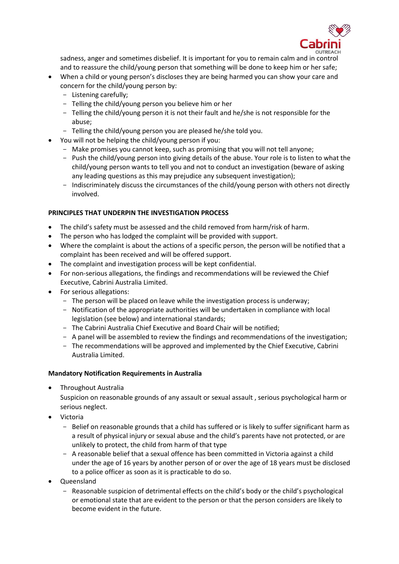

sadness, anger and sometimes disbelief. It is important for you to remain calm and in control and to reassure the child/young person that something will be done to keep him or her safe;

- When a child or young person's discloses they are being harmed you can show your care and concern for the child/young person by:
	- Listening carefully;
	- Telling the child/young person you believe him or her
	- Telling the child/young person it is not their fault and he/she is not responsible for the abuse;
	- Telling the child/young person you are pleased he/she told you.
- You will not be helping the child/young person if you:
	- Make promises you cannot keep, such as promising that you will not tell anyone;
	- Push the child/young person into giving details of the abuse. Your role is to listen to what the child/young person wants to tell you and not to conduct an investigation (beware of asking any leading questions as this may prejudice any subsequent investigation);
	- Indiscriminately discuss the circumstances of the child/young person with others not directly involved.

# **PRINCIPLES THAT UNDERPIN THE INVESTIGATION PROCESS**

- The child's safety must be assessed and the child removed from harm/risk of harm.
- The person who has lodged the complaint will be provided with support.
- Where the complaint is about the actions of a specific person, the person will be notified that a complaint has been received and will be offered support.
- The complaint and investigation process will be kept confidential.
- For non-serious allegations, the findings and recommendations will be reviewed the Chief Executive, Cabrini Australia Limited.
- For serious allegations:
	- The person will be placed on leave while the investigation process is underway;
	- Notification of the appropriate authorities will be undertaken in compliance with local legislation (see below) and international standards;
	- The Cabrini Australia Chief Executive and Board Chair will be notified;
	- A panel will be assembled to review the findings and recommendations of the investigation;
	- The recommendations will be approved and implemented by the Chief Executive, Cabrini Australia Limited.

# **Mandatory Notification Requirements in Australia**

Throughout Australia

Suspicion on reasonable grounds of any assault or sexual assault , serious psychological harm or serious neglect.

- Victoria
	- Belief on reasonable grounds that a child has suffered or is likely to suffer significant harm as a result of physical injury or sexual abuse and the child's parents have not protected, or are unlikely to protect, the child from harm of that type
	- A reasonable belief that a sexual offence has been committed in Victoria against a child under the age of 16 years by another person of or over the age of 18 years must be disclosed to a police officer as soon as it is practicable to do so.
- Queensland
	- Reasonable suspicion of detrimental effects on the child's body or the child's psychological or emotional state that are evident to the person or that the person considers are likely to become evident in the future.